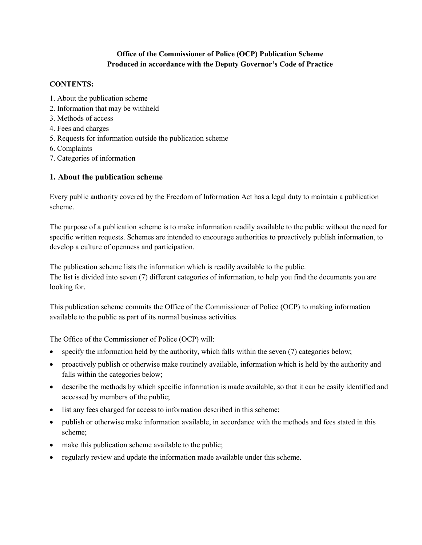## Office of the Commissioner of Police (OCP) Publication Scheme Produced in accordance with the Deputy Governor's Code of Practice

## CONTENTS:

- 1. About the publication scheme
- 2. Information that may be withheld
- 3. Methods of access
- 4. Fees and charges
- 5. Requests for information outside the publication scheme
- 6. Complaints
- 7. Categories of information

## 1. About the publication scheme

Every public authority covered by the Freedom of Information Act has a legal duty to maintain a publication scheme.

The purpose of a publication scheme is to make information readily available to the public without the need for specific written requests. Schemes are intended to encourage authorities to proactively publish information, to develop a culture of openness and participation.

The publication scheme lists the information which is readily available to the public. The list is divided into seven (7) different categories of information, to help you find the documents you are looking for.

This publication scheme commits the Office of the Commissioner of Police (OCP) to making information available to the public as part of its normal business activities.

The Office of the Commissioner of Police (OCP) will:

- specify the information held by the authority, which falls within the seven (7) categories below;
- proactively publish or otherwise make routinely available, information which is held by the authority and falls within the categories below;
- describe the methods by which specific information is made available, so that it can be easily identified and accessed by members of the public;
- list any fees charged for access to information described in this scheme;
- publish or otherwise make information available, in accordance with the methods and fees stated in this scheme;
- make this publication scheme available to the public;
- regularly review and update the information made available under this scheme.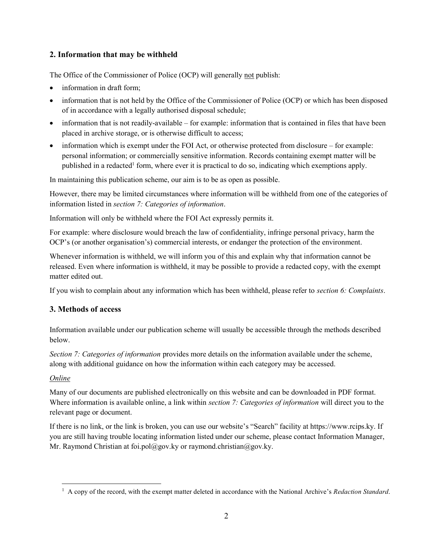# 2. Information that may be withheld

The Office of the Commissioner of Police (OCP) will generally not publish:

- information in draft form;
- information that is not held by the Office of the Commissioner of Police (OCP) or which has been disposed of in accordance with a legally authorised disposal schedule;
- information that is not readily-available for example: information that is contained in files that have been placed in archive storage, or is otherwise difficult to access;
- information which is exempt under the FOI Act, or otherwise protected from disclosure for example: personal information; or commercially sensitive information. Records containing exempt matter will be published in a redacted<sup>1</sup> form, where ever it is practical to do so, indicating which exemptions apply.

In maintaining this publication scheme, our aim is to be as open as possible.

However, there may be limited circumstances where information will be withheld from one of the categories of information listed in section 7: Categories of information.

Information will only be withheld where the FOI Act expressly permits it.

For example: where disclosure would breach the law of confidentiality, infringe personal privacy, harm the OCP's (or another organisation's) commercial interests, or endanger the protection of the environment.

Whenever information is withheld, we will inform you of this and explain why that information cannot be released. Even where information is withheld, it may be possible to provide a redacted copy, with the exempt matter edited out.

If you wish to complain about any information which has been withheld, please refer to section 6: Complaints.

# 3. Methods of access

Information available under our publication scheme will usually be accessible through the methods described below.

Section 7: Categories of information provides more details on the information available under the scheme, along with additional guidance on how the information within each category may be accessed.

# Online

 $\overline{a}$ 

Many of our documents are published electronically on this website and can be downloaded in PDF format. Where information is available online, a link within *section 7: Categories of information* will direct you to the relevant page or document.

If there is no link, or the link is broken, you can use our website's "Search" facility at https://www.rcips.ky. If you are still having trouble locating information listed under our scheme, please contact Information Manager, Mr. Raymond Christian at foi.pol@gov.ky or raymond.christian@gov.ky.

 $<sup>1</sup>$  A copy of the record, with the exempt matter deleted in accordance with the National Archive's Redaction Standard.</sup>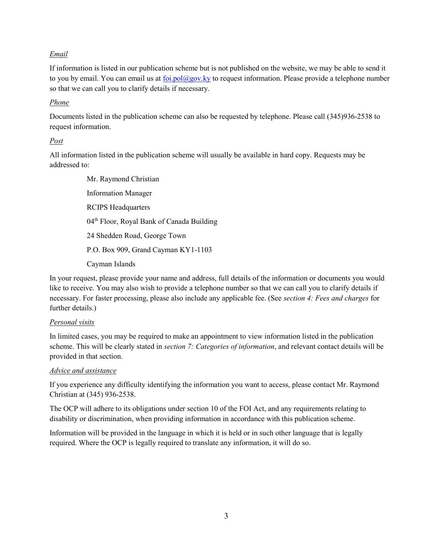## Email

If information is listed in our publication scheme but is not published on the website, we may be able to send it to you by email. You can email us at foi.pol@gov.ky to request information. Please provide a telephone number so that we can call you to clarify details if necessary.

## Phone

Documents listed in the publication scheme can also be requested by telephone. Please call (345)936-2538 to request information.

### Post

All information listed in the publication scheme will usually be available in hard copy. Requests may be addressed to:

> Mr. Raymond Christian Information Manager RCIPS Headquarters 04th Floor, Royal Bank of Canada Building 24 Shedden Road, George Town P.O. Box 909, Grand Cayman KY1-1103 Cayman Islands

In your request, please provide your name and address, full details of the information or documents you would like to receive. You may also wish to provide a telephone number so that we can call you to clarify details if necessary. For faster processing, please also include any applicable fee. (See section 4: Fees and charges for further details.)

## Personal visits

In limited cases, you may be required to make an appointment to view information listed in the publication scheme. This will be clearly stated in *section 7: Categories of information*, and relevant contact details will be provided in that section.

## Advice and assistance

If you experience any difficulty identifying the information you want to access, please contact Mr. Raymond Christian at (345) 936-2538.

The OCP will adhere to its obligations under section 10 of the FOI Act, and any requirements relating to disability or discrimination, when providing information in accordance with this publication scheme.

Information will be provided in the language in which it is held or in such other language that is legally required. Where the OCP is legally required to translate any information, it will do so.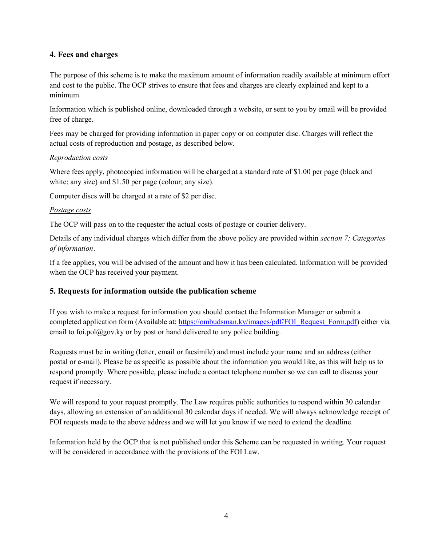## 4. Fees and charges

The purpose of this scheme is to make the maximum amount of information readily available at minimum effort and cost to the public. The OCP strives to ensure that fees and charges are clearly explained and kept to a minimum.

Information which is published online, downloaded through a website, or sent to you by email will be provided free of charge.

Fees may be charged for providing information in paper copy or on computer disc. Charges will reflect the actual costs of reproduction and postage, as described below.

### Reproduction costs

Where fees apply, photocopied information will be charged at a standard rate of \$1.00 per page (black and white; any size) and \$1.50 per page (colour; any size).

Computer discs will be charged at a rate of \$2 per disc.

### Postage costs

The OCP will pass on to the requester the actual costs of postage or courier delivery.

Details of any individual charges which differ from the above policy are provided within section 7: Categories of information.

If a fee applies, you will be advised of the amount and how it has been calculated. Information will be provided when the OCP has received your payment.

## 5. Requests for information outside the publication scheme

If you wish to make a request for information you should contact the Information Manager or submit a completed application form (Available at: https://ombudsman.ky/images/pdf/FOI\_Request\_Form.pdf) either via email to foi.pol $(\partial \rho g o v. k y$  or by post or hand delivered to any police building.

Requests must be in writing (letter, email or facsimile) and must include your name and an address (either postal or e-mail). Please be as specific as possible about the information you would like, as this will help us to respond promptly. Where possible, please include a contact telephone number so we can call to discuss your request if necessary.

We will respond to your request promptly. The Law requires public authorities to respond within 30 calendar days, allowing an extension of an additional 30 calendar days if needed. We will always acknowledge receipt of FOI requests made to the above address and we will let you know if we need to extend the deadline.

Information held by the OCP that is not published under this Scheme can be requested in writing. Your request will be considered in accordance with the provisions of the FOI Law.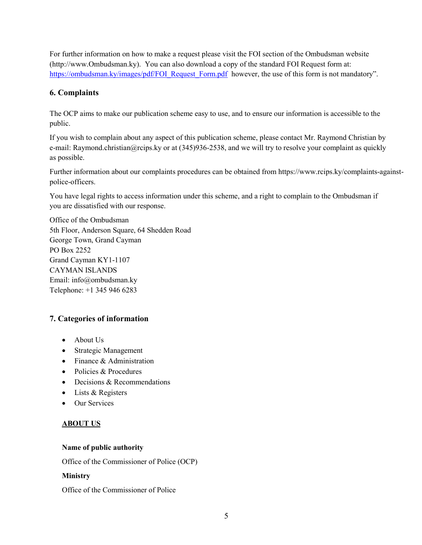For further information on how to make a request please visit the FOI section of the Ombudsman website (http://www.Ombudsman.ky). You can also download a copy of the standard FOI Request form at: https://ombudsman.ky/images/pdf/FOI\_Request\_Form.pdf however, the use of this form is not mandatory".

# 6. Complaints

The OCP aims to make our publication scheme easy to use, and to ensure our information is accessible to the public.

If you wish to complain about any aspect of this publication scheme, please contact Mr. Raymond Christian by e-mail: Raymond.christian@rcips.ky or at (345)936-2538, and we will try to resolve your complaint as quickly as possible.

Further information about our complaints procedures can be obtained from https://www.rcips.ky/complaints-againstpolice-officers.

You have legal rights to access information under this scheme, and a right to complain to the Ombudsman if you are dissatisfied with our response.

Office of the Ombudsman 5th Floor, Anderson Square, 64 Shedden Road George Town, Grand Cayman PO Box 2252 Grand Cayman KY1-1107 CAYMAN ISLANDS Email: info@ombudsman.ky Telephone: +1 345 946 6283

# 7. Categories of information

- About Us
- Strategic Management
- Finance & Administration
- Policies & Procedures
- Decisions & Recommendations
- Lists & Registers
- Our Services

# ABOUT US

## Name of public authority

Office of the Commissioner of Police (OCP)

## Ministry

Office of the Commissioner of Police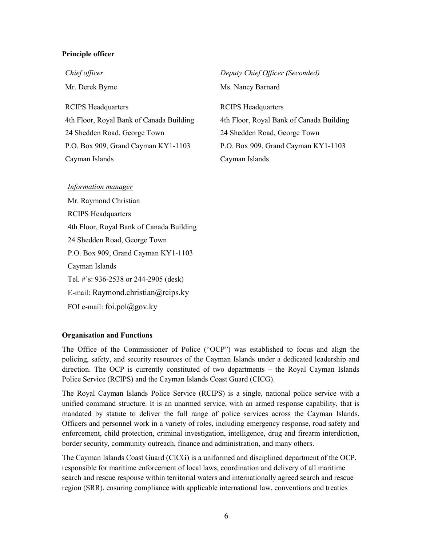### Principle officer

#### Chief officer

Mr. Derek Byrne

RCIPS Headquarters 4th Floor, Royal Bank of Canada Building 24 Shedden Road, George Town P.O. Box 909, Grand Cayman KY1-1103 Cayman Islands

## Deputy Chief Officer (Seconded)

Ms. Nancy Barnard

RCIPS Headquarters 4th Floor, Royal Bank of Canada Building 24 Shedden Road, George Town P.O. Box 909, Grand Cayman KY1-1103 Cayman Islands

#### Information manager

Mr. Raymond Christian RCIPS Headquarters 4th Floor, Royal Bank of Canada Building 24 Shedden Road, George Town P.O. Box 909, Grand Cayman KY1-1103 Cayman Islands Tel. #'s: 936-2538 or 244-2905 (desk) E-mail: Raymond.christian@rcips.ky FOI e-mail: foi.pol $(a)$ gov.ky

#### Organisation and Functions

The Office of the Commissioner of Police ("OCP") was established to focus and align the policing, safety, and security resources of the Cayman Islands under a dedicated leadership and direction. The OCP is currently constituted of two departments – the Royal Cayman Islands Police Service (RCIPS) and the Cayman Islands Coast Guard (CICG).

The Royal Cayman Islands Police Service (RCIPS) is a single, national police service with a unified command structure. It is an unarmed service, with an armed response capability, that is mandated by statute to deliver the full range of police services across the Cayman Islands. Officers and personnel work in a variety of roles, including emergency response, road safety and enforcement, child protection, criminal investigation, intelligence, drug and firearm interdiction, border security, community outreach, finance and administration, and many others.

The Cayman Islands Coast Guard (CICG) is a uniformed and disciplined department of the OCP, responsible for maritime enforcement of local laws, coordination and delivery of all maritime search and rescue response within territorial waters and internationally agreed search and rescue region (SRR), ensuring compliance with applicable international law, conventions and treaties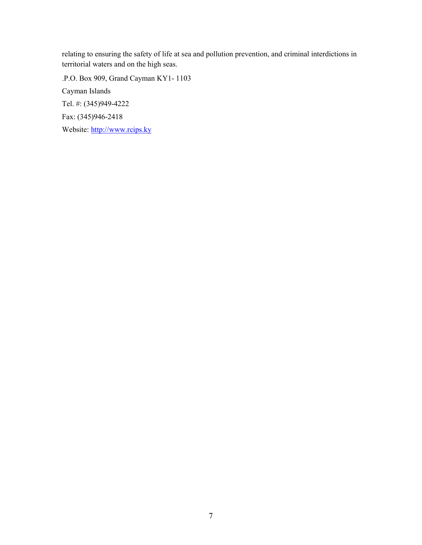relating to ensuring the safety of life at sea and pollution prevention, and criminal interdictions in territorial waters and on the high seas.

.P.O. Box 909, Grand Cayman KY1- 1103 Cayman Islands Tel. #: (345)949-4222 Fax: (345)946-2418 Website: http://www.rcips.ky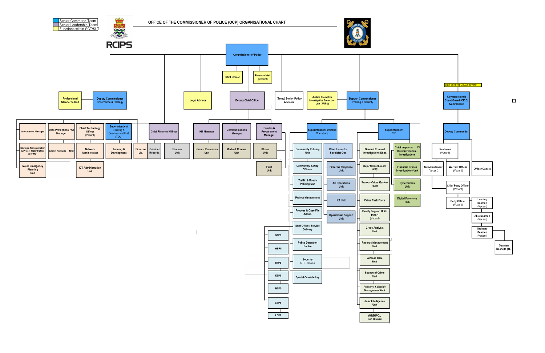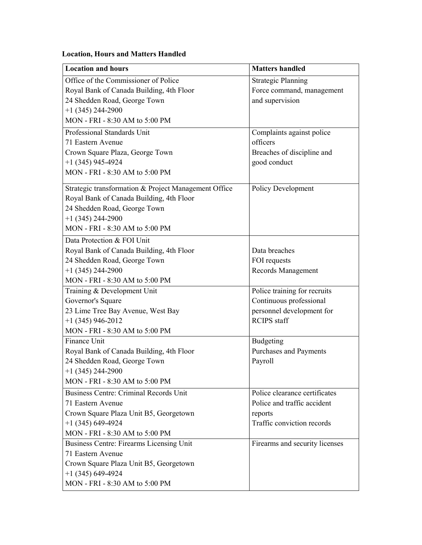# Location, Hours and Matters Handled

| <b>Location and hours</b>                            | <b>Matters handled</b>         |
|------------------------------------------------------|--------------------------------|
| Office of the Commissioner of Police                 | <b>Strategic Planning</b>      |
| Royal Bank of Canada Building, 4th Floor             | Force command, management      |
| 24 Shedden Road, George Town                         | and supervision                |
| $+1$ (345) 244-2900                                  |                                |
| MON - FRI - 8:30 AM to 5:00 PM                       |                                |
| Professional Standards Unit                          | Complaints against police      |
| 71 Eastern Avenue                                    | officers                       |
| Crown Square Plaza, George Town                      | Breaches of discipline and     |
| $+1$ (345) 945-4924                                  | good conduct                   |
| MON - FRI - 8:30 AM to 5:00 PM                       |                                |
| Strategic transformation & Project Management Office | <b>Policy Development</b>      |
| Royal Bank of Canada Building, 4th Floor             |                                |
| 24 Shedden Road, George Town                         |                                |
| $+1$ (345) 244-2900                                  |                                |
| MON - FRI - 8:30 AM to 5:00 PM                       |                                |
| Data Protection & FOI Unit                           |                                |
| Royal Bank of Canada Building, 4th Floor             | Data breaches                  |
| 24 Shedden Road, George Town                         | FOI requests                   |
| $+1$ (345) 244-2900                                  | Records Management             |
| MON - FRI - 8:30 AM to 5:00 PM                       |                                |
| Training & Development Unit                          | Police training for recruits   |
| Governor's Square                                    | Continuous professional        |
| 23 Lime Tree Bay Avenue, West Bay                    | personnel development for      |
| $+1$ (345) 946-2012                                  | <b>RCIPS</b> staff             |
| MON - FRI - 8:30 AM to 5:00 PM                       |                                |
| Finance Unit                                         | Budgeting                      |
| Royal Bank of Canada Building, 4th Floor             | Purchases and Payments         |
| 24 Shedden Road, George Town                         | Payroll                        |
| +1 (345) 244-2900                                    |                                |
| MON - FRI - 8:30 AM to 5:00 PM                       |                                |
| <b>Business Centre: Criminal Records Unit</b>        | Police clearance certificates  |
| 71 Eastern Avenue                                    | Police and traffic accident    |
| Crown Square Plaza Unit B5, Georgetown               | reports                        |
| $+1$ (345) 649-4924                                  | Traffic conviction records     |
| MON - FRI - 8:30 AM to 5:00 PM                       |                                |
| <b>Business Centre: Firearms Licensing Unit</b>      | Firearms and security licenses |
| 71 Eastern Avenue                                    |                                |
| Crown Square Plaza Unit B5, Georgetown               |                                |
| $+1$ (345) 649-4924                                  |                                |
| MON - FRI - 8:30 AM to 5:00 PM                       |                                |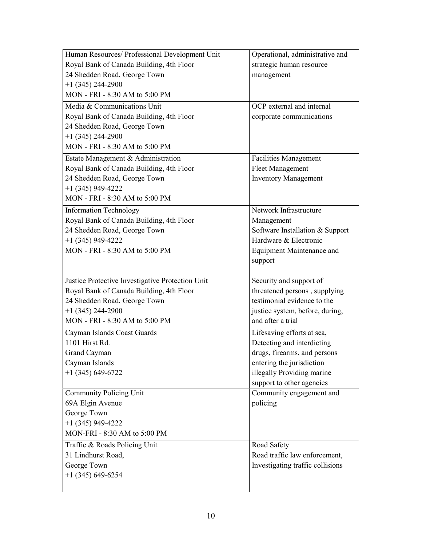| Human Resources/ Professional Development Unit   | Operational, administrative and  |
|--------------------------------------------------|----------------------------------|
| Royal Bank of Canada Building, 4th Floor         | strategic human resource         |
| 24 Shedden Road, George Town                     | management                       |
| $+1$ (345) 244-2900                              |                                  |
| MON - FRI - 8:30 AM to 5:00 PM                   |                                  |
| Media & Communications Unit                      | OCP external and internal        |
| Royal Bank of Canada Building, 4th Floor         | corporate communications         |
| 24 Shedden Road, George Town                     |                                  |
| $+1$ (345) 244-2900                              |                                  |
| MON - FRI - 8:30 AM to 5:00 PM                   |                                  |
| Estate Management & Administration               | <b>Facilities Management</b>     |
| Royal Bank of Canada Building, 4th Floor         | <b>Fleet Management</b>          |
| 24 Shedden Road, George Town                     | <b>Inventory Management</b>      |
| $+1$ (345) 949-4222                              |                                  |
| MON - FRI - 8:30 AM to 5:00 PM                   |                                  |
| <b>Information Technology</b>                    | Network Infrastructure           |
| Royal Bank of Canada Building, 4th Floor         | Management                       |
| 24 Shedden Road, George Town                     | Software Installation & Support  |
| $+1$ (345) 949-4222                              | Hardware & Electronic            |
| MON - FRI - 8:30 AM to 5:00 PM                   | <b>Equipment Maintenance and</b> |
|                                                  | support                          |
|                                                  |                                  |
| Justice Protective Investigative Protection Unit | Security and support of          |
| Royal Bank of Canada Building, 4th Floor         | threatened persons, supplying    |
| 24 Shedden Road, George Town                     | testimonial evidence to the      |
| $+1$ (345) 244-2900                              | justice system, before, during,  |
| MON - FRI - 8:30 AM to 5:00 PM                   | and after a trial                |
| Cayman Islands Coast Guards                      | Lifesaving efforts at sea,       |
| 1101 Hirst Rd.                                   | Detecting and interdicting       |
| Grand Cayman                                     | drugs, firearms, and persons     |
| Cayman Islands                                   | entering the jurisdiction        |
| $+1$ (345) 649-6722                              | illegally Providing marine       |
|                                                  | support to other agencies        |
| <b>Community Policing Unit</b>                   | Community engagement and         |
| 69A Elgin Avenue                                 | policing                         |
| George Town                                      |                                  |
| $+1$ (345) 949-4222                              |                                  |
| MON-FRI - 8:30 AM to 5:00 PM                     |                                  |
| Traffic & Roads Policing Unit                    | Road Safety                      |
| 31 Lindhurst Road,                               | Road traffic law enforcement,    |
| George Town                                      | Investigating traffic collisions |
| $+1$ (345) 649-6254                              |                                  |
|                                                  |                                  |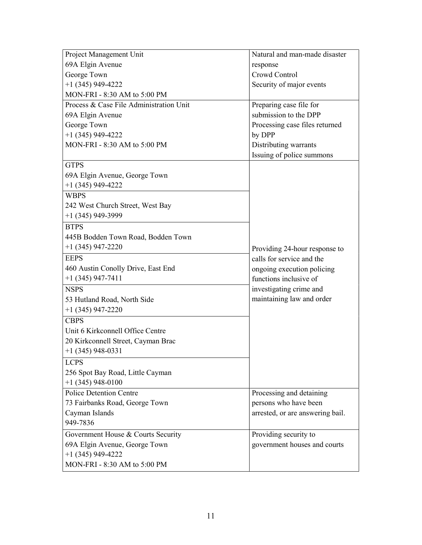| Project Management Unit                 | Natural and man-made disaster    |  |
|-----------------------------------------|----------------------------------|--|
| 69A Elgin Avenue                        | response                         |  |
| George Town                             | Crowd Control                    |  |
| $+1$ (345) 949-4222                     | Security of major events         |  |
| MON-FRI - 8:30 AM to 5:00 PM            |                                  |  |
| Process & Case File Administration Unit | Preparing case file for          |  |
| 69A Elgin Avenue                        | submission to the DPP            |  |
| George Town                             | Processing case files returned   |  |
| $+1$ (345) 949-4222                     | by DPP                           |  |
| MON-FRI - 8:30 AM to 5:00 PM            | Distributing warrants            |  |
|                                         | Issuing of police summons        |  |
| <b>GTPS</b>                             |                                  |  |
| 69A Elgin Avenue, George Town           |                                  |  |
| $+1$ (345) 949-4222                     |                                  |  |
| <b>WBPS</b>                             |                                  |  |
| 242 West Church Street, West Bay        |                                  |  |
| $+1$ (345) 949-3999                     |                                  |  |
| <b>BTPS</b>                             |                                  |  |
| 445B Bodden Town Road, Bodden Town      |                                  |  |
| $+1$ (345) 947-2220                     | Providing 24-hour response to    |  |
| <b>EEPS</b>                             | calls for service and the        |  |
| 460 Austin Conolly Drive, East End      | ongoing execution policing       |  |
| $+1$ (345) 947-7411                     | functions inclusive of           |  |
| <b>NSPS</b>                             | investigating crime and          |  |
| 53 Hutland Road, North Side             | maintaining law and order        |  |
| $+1$ (345) 947-2220                     |                                  |  |
| <b>CBPS</b>                             |                                  |  |
| Unit 6 Kirkconnell Office Centre        |                                  |  |
| 20 Kirkconnell Street, Cayman Brac      |                                  |  |
| $+1$ (345) 948-0331                     |                                  |  |
| <b>LCPS</b>                             |                                  |  |
| 256 Spot Bay Road, Little Cayman        |                                  |  |
| $+1$ (345) 948-0100                     |                                  |  |
| <b>Police Detention Centre</b>          | Processing and detaining         |  |
| 73 Fairbanks Road, George Town          | persons who have been            |  |
| Cayman Islands                          | arrested, or are answering bail. |  |
| 949-7836                                |                                  |  |
| Government House & Courts Security      | Providing security to            |  |
| 69A Elgin Avenue, George Town           | government houses and courts     |  |
| $+1$ (345) 949-4222                     |                                  |  |
| MON-FRI - 8:30 AM to 5:00 PM            |                                  |  |
|                                         |                                  |  |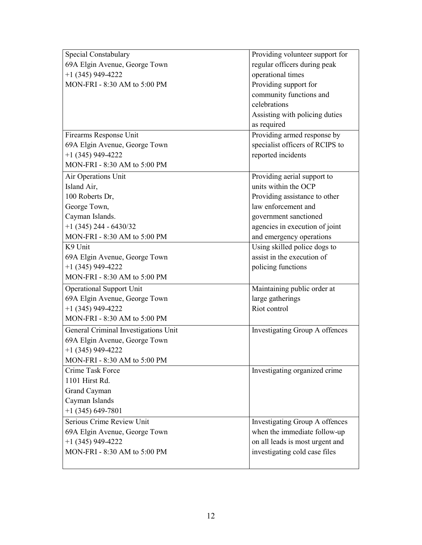| Special Constabulary                 | Providing volunteer support for |
|--------------------------------------|---------------------------------|
| 69A Elgin Avenue, George Town        | regular officers during peak    |
| $+1$ (345) 949-4222                  | operational times               |
| MON-FRI - 8:30 AM to 5:00 PM         | Providing support for           |
|                                      | community functions and         |
|                                      | celebrations                    |
|                                      | Assisting with policing duties  |
|                                      | as required                     |
| Firearms Response Unit               | Providing armed response by     |
| 69A Elgin Avenue, George Town        | specialist officers of RCIPS to |
| $+1$ (345) 949-4222                  | reported incidents              |
| MON-FRI - 8:30 AM to 5:00 PM         |                                 |
| Air Operations Unit                  | Providing aerial support to     |
| Island Air,                          | units within the OCP            |
| 100 Roberts Dr,                      | Providing assistance to other   |
| George Town,                         | law enforcement and             |
| Cayman Islands.                      | government sanctioned           |
| $+1$ (345) 244 - 6430/32             | agencies in execution of joint  |
| MON-FRI - 8:30 AM to 5:00 PM         | and emergency operations        |
| K9 Unit                              | Using skilled police dogs to    |
| 69A Elgin Avenue, George Town        | assist in the execution of      |
| $+1$ (345) 949-4222                  | policing functions              |
| MON-FRI - 8:30 AM to 5:00 PM         |                                 |
| <b>Operational Support Unit</b>      | Maintaining public order at     |
| 69A Elgin Avenue, George Town        | large gatherings                |
| $+1$ (345) 949-4222                  | Riot control                    |
| MON-FRI - 8:30 AM to 5:00 PM         |                                 |
| General Criminal Investigations Unit | Investigating Group A offences  |
| 69A Elgin Avenue, George Town        |                                 |
| $+1$ (345) 949-4222                  |                                 |
| MON-FRI - 8:30 AM to 5:00 PM         |                                 |
| Crime Task Force                     | Investigating organized crime   |
| 1101 Hirst Rd.                       |                                 |
| Grand Cayman                         |                                 |
| Cayman Islands                       |                                 |
| $+1$ (345) 649-7801                  |                                 |
| Serious Crime Review Unit            | Investigating Group A offences  |
| 69A Elgin Avenue, George Town        | when the immediate follow-up    |
| $+1$ (345) 949-4222                  | on all leads is most urgent and |
| MON-FRI - 8:30 AM to 5:00 PM         | investigating cold case files   |
|                                      |                                 |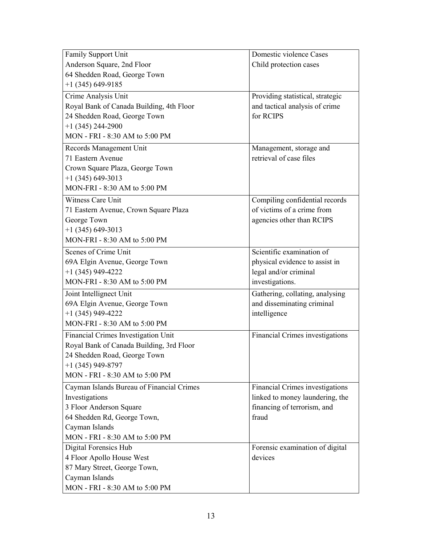| Family Support Unit                       | Domestic violence Cases          |
|-------------------------------------------|----------------------------------|
| Anderson Square, 2nd Floor                | Child protection cases           |
| 64 Shedden Road, George Town              |                                  |
| $+1$ (345) 649-9185                       |                                  |
| Crime Analysis Unit                       | Providing statistical, strategic |
| Royal Bank of Canada Building, 4th Floor  | and tactical analysis of crime   |
| 24 Shedden Road, George Town              | for RCIPS                        |
| $+1$ (345) 244-2900                       |                                  |
| MON - FRI - 8:30 AM to 5:00 PM            |                                  |
| Records Management Unit                   | Management, storage and          |
| 71 Eastern Avenue                         | retrieval of case files          |
| Crown Square Plaza, George Town           |                                  |
| $+1$ (345) 649-3013                       |                                  |
| MON-FRI - 8:30 AM to 5:00 PM              |                                  |
| Witness Care Unit                         | Compiling confidential records   |
| 71 Eastern Avenue, Crown Square Plaza     | of victims of a crime from       |
| George Town                               | agencies other than RCIPS        |
| $+1$ (345) 649-3013                       |                                  |
| MON-FRI - 8:30 AM to 5:00 PM              |                                  |
| Scenes of Crime Unit                      | Scientific examination of        |
| 69A Elgin Avenue, George Town             | physical evidence to assist in   |
| $+1$ (345) 949-4222                       | legal and/or criminal            |
| MON-FRI - 8:30 AM to 5:00 PM              | investigations.                  |
| Joint Intellignect Unit                   | Gathering, collating, analysing  |
| 69A Elgin Avenue, George Town             | and disseminating criminal       |
| $+1$ (345) 949-4222                       | intelligence                     |
| MON-FRI - 8:30 AM to 5:00 PM              |                                  |
| Financial Crimes Investigation Unit       | Financial Crimes investigations  |
| Royal Bank of Canada Building, 3rd Floor  |                                  |
| 24 Shedden Road, George Town              |                                  |
| $+1$ (345) 949-8797                       |                                  |
| MON - FRI - 8:30 AM to 5:00 PM            |                                  |
| Cayman Islands Bureau of Financial Crimes | Financial Crimes investigations  |
| Investigations                            | linked to money laundering, the  |
| 3 Floor Anderson Square                   | financing of terrorism, and      |
| 64 Shedden Rd, George Town,               | fraud                            |
| Cayman Islands                            |                                  |
| MON - FRI - 8:30 AM to 5:00 PM            |                                  |
| Digital Forensics Hub                     | Forensic examination of digital  |
| 4 Floor Apollo House West                 | devices                          |
| 87 Mary Street, George Town,              |                                  |
| Cayman Islands                            |                                  |
| MON - FRI - 8:30 AM to 5:00 PM            |                                  |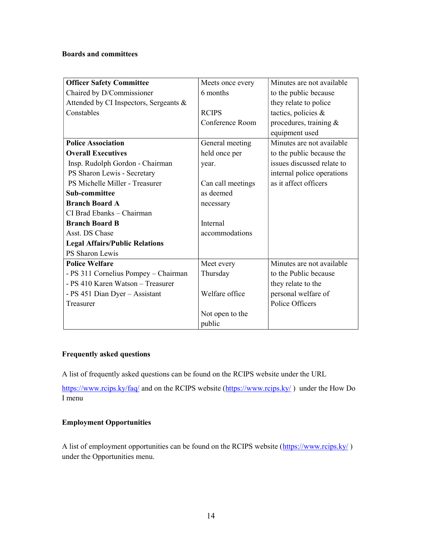### Boards and committees

| <b>Officer Safety Committee</b>        | Meets once every  | Minutes are not available  |
|----------------------------------------|-------------------|----------------------------|
| Chaired by D/Commissioner              | 6 months          | to the public because      |
| Attended by CI Inspectors, Sergeants & |                   | they relate to police      |
| Constables                             | <b>RCIPS</b>      | tactics, policies &        |
|                                        | Conference Room   | procedures, training $\&$  |
|                                        |                   | equipment used             |
| <b>Police Association</b>              | General meeting   | Minutes are not available  |
| <b>Overall Executives</b>              | held once per     | to the public because the  |
| Insp. Rudolph Gordon - Chairman        | year.             | issues discussed relate to |
| PS Sharon Lewis - Secretary            |                   | internal police operations |
| PS Michelle Miller - Treasurer         | Can call meetings | as it affect officers      |
| Sub-committee                          | as deemed         |                            |
| <b>Branch Board A</b>                  | necessary         |                            |
| CI Brad Ebanks - Chairman              |                   |                            |
| <b>Branch Board B</b>                  | <b>Internal</b>   |                            |
| Asst. DS Chase                         | accommodations    |                            |
| <b>Legal Affairs/Public Relations</b>  |                   |                            |
| PS Sharon Lewis                        |                   |                            |
| <b>Police Welfare</b>                  | Meet every        | Minutes are not available  |
| - PS 311 Cornelius Pompey - Chairman   | Thursday          | to the Public because      |
| - PS 410 Karen Watson - Treasurer      |                   | they relate to the         |
| - PS 451 Dian Dyer - Assistant         | Welfare office    | personal welfare of        |
| Treasurer                              |                   | Police Officers            |
|                                        | Not open to the   |                            |
|                                        | public            |                            |

# Frequently asked questions

A list of frequently asked questions can be found on the RCIPS website under the URL

https://www.rcips.ky/faq/ and on the RCIPS website (https://www.rcips.ky/) under the How Do I menu

### Employment Opportunities

A list of employment opportunities can be found on the RCIPS website (https://www.rcips.ky/) under the Opportunities menu.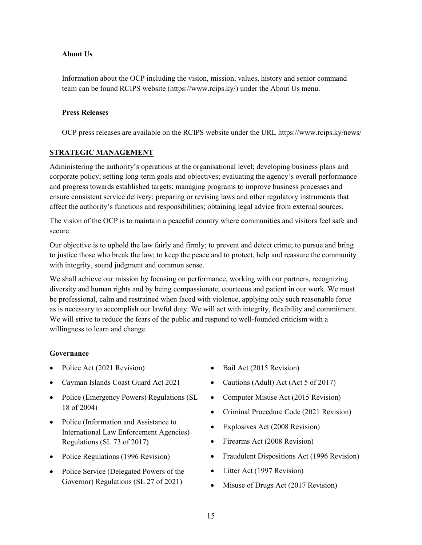### About Us

Information about the OCP including the vision, mission, values, history and senior command team can be found RCIPS website (https://www.rcips.ky/) under the About Us menu.

## Press Releases

OCP press releases are available on the RCIPS website under the URL https://www.rcips.ky/news/

### STRATEGIC MANAGEMENT

Administering the authority's operations at the organisational level; developing business plans and corporate policy; setting long-term goals and objectives; evaluating the agency's overall performance and progress towards established targets; managing programs to improve business processes and ensure consistent service delivery; preparing or revising laws and other regulatory instruments that affect the authority's functions and responsibilities; obtaining legal advice from external sources.

The vision of the OCP is to maintain a peaceful country where communities and visitors feel safe and secure.

Our objective is to uphold the law fairly and firmly; to prevent and detect crime; to pursue and bring to justice those who break the law; to keep the peace and to protect, help and reassure the community with integrity, sound judgment and common sense.

We shall achieve our mission by focusing on performance, working with our partners, recognizing diversity and human rights and by being compassionate, courteous and patient in our work. We must be professional, calm and restrained when faced with violence, applying only such reasonable force as is necessary to accomplish our lawful duty. We will act with integrity, flexibility and commitment. We will strive to reduce the fears of the public and respond to well-founded criticism with a willingness to learn and change.

### Governance

- Police Act (2021 Revision)
- Cayman Islands Coast Guard Act 2021
- Police (Emergency Powers) Regulations (SL 18 of 2004)
- Police (Information and Assistance to International Law Enforcement Agencies) Regulations (SL 73 of 2017)
- Police Regulations (1996 Revision)
- Police Service (Delegated Powers of the Governor) Regulations (SL 27 of 2021)
- Bail Act (2015 Revision)
- Cautions (Adult) Act (Act 5 of 2017)
- Computer Misuse Act (2015 Revision)
- Criminal Procedure Code (2021 Revision)
- Explosives Act (2008 Revision)
- Firearms Act (2008 Revision)
- Fraudulent Dispositions Act (1996 Revision)
- Litter Act (1997 Revision)
- Misuse of Drugs Act (2017 Revision)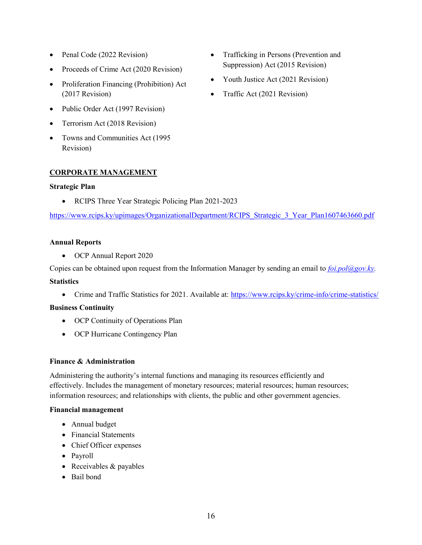- Penal Code (2022 Revision)
- Proceeds of Crime Act (2020 Revision)
- Proliferation Financing (Prohibition) Act (2017 Revision)
- Public Order Act (1997 Revision)
- Terrorism Act (2018 Revision)
- Towns and Communities Act (1995 Revision)

### CORPORATE MANAGEMENT

### Strategic Plan

• RCIPS Three Year Strategic Policing Plan 2021-2023

https://www.rcips.ky/upimages/OrganizationalDepartment/RCIPS Strategic 3 Year Plan1607463660.pdf

### Annual Reports

OCP Annual Report 2020

Copies can be obtained upon request from the Information Manager by sending an email to  $\frac{foi}{10}$   $\frac{O(1)}{O(2)}$ 

### **Statistics**

• Crime and Traffic Statistics for 2021. Available at: https://www.rcips.ky/crime-info/crime-statistics/

### Business Continuity

- OCP Continuity of Operations Plan
- OCP Hurricane Contingency Plan

### Finance & Administration

Administering the authority's internal functions and managing its resources efficiently and effectively. Includes the management of monetary resources; material resources; human resources; information resources; and relationships with clients, the public and other government agencies.

#### Financial management

- Annual budget
- Financial Statements
- Chief Officer expenses
- Payroll
- Receivables & payables
- Bail bond
- Trafficking in Persons (Prevention and Suppression) Act (2015 Revision)
- Youth Justice Act (2021 Revision)
- Traffic Act (2021 Revision)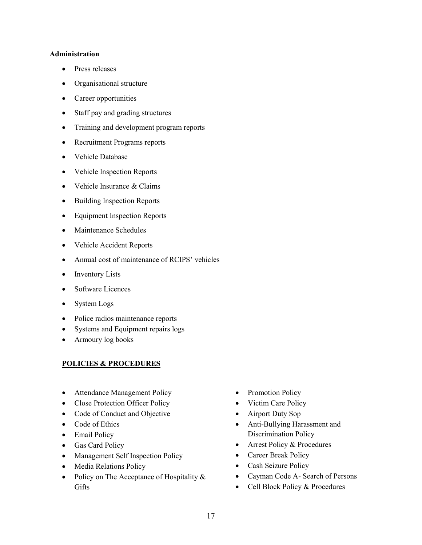#### Administration

- Press releases
- Organisational structure
- Career opportunities
- Staff pay and grading structures
- Training and development program reports
- Recruitment Programs reports
- Vehicle Database
- Vehicle Inspection Reports
- Vehicle Insurance & Claims
- Building Inspection Reports
- Equipment Inspection Reports
- Maintenance Schedules
- Vehicle Accident Reports
- Annual cost of maintenance of RCIPS' vehicles
- Inventory Lists
- Software Licences
- System Logs
- Police radios maintenance reports
- Systems and Equipment repairs logs
- Armoury log books

## POLICIES & PROCEDURES

- Attendance Management Policy
- Close Protection Officer Policy
- Code of Conduct and Objective
- Code of Ethics
- Email Policy
- Gas Card Policy
- Management Self Inspection Policy
- Media Relations Policy
- Policy on The Acceptance of Hospitality & **Gifts**
- Promotion Policy
- Victim Care Policy
- Airport Duty Sop
- Anti-Bullying Harassment and Discrimination Policy
- Arrest Policy & Procedures
- Career Break Policy
- Cash Seizure Policy
- Cayman Code A- Search of Persons
- Cell Block Policy & Procedures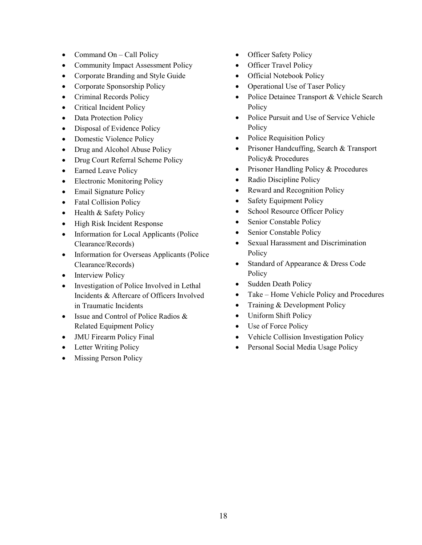- Command On Call Policy
- Community Impact Assessment Policy
- Corporate Branding and Style Guide
- Corporate Sponsorship Policy
- Criminal Records Policy
- Critical Incident Policy
- Data Protection Policy
- Disposal of Evidence Policy
- Domestic Violence Policy
- Drug and Alcohol Abuse Policy
- Drug Court Referral Scheme Policy
- Earned Leave Policy
- Electronic Monitoring Policy
- Email Signature Policy
- Fatal Collision Policy
- Health & Safety Policy
- High Risk Incident Response
- Information for Local Applicants (Police Clearance/Records)
- Information for Overseas Applicants (Police Clearance/Records)
- Interview Policy
- Investigation of Police Involved in Lethal Incidents & Aftercare of Officers Involved in Traumatic Incidents
- Issue and Control of Police Radios & Related Equipment Policy
- JMU Firearm Policy Final
- Letter Writing Policy
- Missing Person Policy
- Officer Safety Policy
- Officer Travel Policy
- Official Notebook Policy
- Operational Use of Taser Policy
- Police Detainee Transport & Vehicle Search **Policy**
- Police Pursuit and Use of Service Vehicle **Policy**
- Police Requisition Policy
- Prisoner Handcuffing, Search & Transport Policy& Procedures
- Prisoner Handling Policy & Procedures
- Radio Discipline Policy
- Reward and Recognition Policy
- Safety Equipment Policy
- School Resource Officer Policy
- Senior Constable Policy
- Senior Constable Policy
- Sexual Harassment and Discrimination Policy
- Standard of Appearance & Dress Code Policy
- Sudden Death Policy
- Take Home Vehicle Policy and Procedures
- Training & Development Policy
- Uniform Shift Policy
- Use of Force Policy
- Vehicle Collision Investigation Policy
- Personal Social Media Usage Policy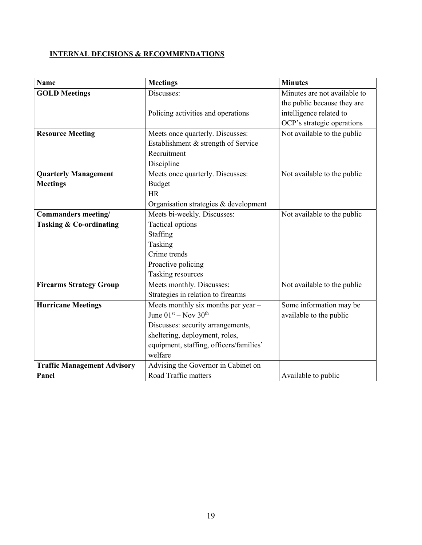# INTERNAL DECISIONS & RECOMMENDATIONS

| <b>Name</b>                        | <b>Meetings</b>                         | <b>Minutes</b>               |
|------------------------------------|-----------------------------------------|------------------------------|
| <b>GOLD Meetings</b>               | Discusses:                              | Minutes are not available to |
|                                    |                                         | the public because they are  |
|                                    | Policing activities and operations      | intelligence related to      |
|                                    |                                         | OCP's strategic operations   |
| <b>Resource Meeting</b>            | Meets once quarterly. Discusses:        | Not available to the public  |
|                                    | Establishment & strength of Service     |                              |
|                                    | Recruitment                             |                              |
|                                    | Discipline                              |                              |
| <b>Quarterly Management</b>        | Meets once quarterly. Discusses:        | Not available to the public  |
| <b>Meetings</b>                    | <b>Budget</b>                           |                              |
|                                    | <b>HR</b>                               |                              |
|                                    | Organisation strategies & development   |                              |
| Commanders meeting/                | Meets bi-weekly. Discusses:             | Not available to the public  |
| <b>Tasking &amp; Co-ordinating</b> | Tactical options                        |                              |
|                                    | Staffing                                |                              |
|                                    | Tasking                                 |                              |
|                                    | Crime trends                            |                              |
|                                    | Proactive policing                      |                              |
|                                    | Tasking resources                       |                              |
| <b>Firearms Strategy Group</b>     | Meets monthly. Discusses:               | Not available to the public  |
|                                    | Strategies in relation to firearms      |                              |
| <b>Hurricane Meetings</b>          | Meets monthly six months per year -     | Some information may be      |
|                                    | June $01st - Nov 30th$                  | available to the public      |
|                                    | Discusses: security arrangements,       |                              |
|                                    | sheltering, deployment, roles,          |                              |
|                                    | equipment, staffing, officers/families' |                              |
|                                    | welfare                                 |                              |
| <b>Traffic Management Advisory</b> | Advising the Governor in Cabinet on     |                              |
| Panel                              | Road Traffic matters                    | Available to public          |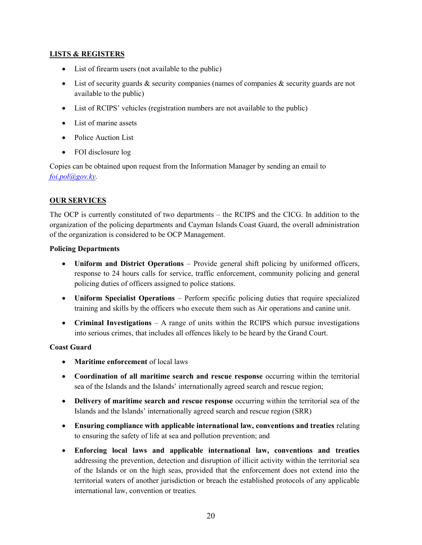## LISTS & REGISTERS

- List of firearm users (not available to the public)
- List of security guards & security companies (names of companies & security guards are not available to the public)
- List of RCIPS' vehicles (registration numbers are not available to the public)
- List of marine assets
- Police Auction List
- FOI disclosure log

Copies can be obtained upon request from the Information Manager by sending an email to foi.pol@gov.ky.

## OUR SERVICES

The OCP is currently constituted of two departments – the RCIPS and the CICG. In addition to the organization of the policing departments and Cayman Islands Coast Guard, the overall administration of the organization is considered to be OCP Management.

### Policing Departments

- Uniform and District Operations Provide general shift policing by uniformed officers, response to 24 hours calls for service, traffic enforcement, community policing and general policing duties of officers assigned to police stations.
- Uniform Specialist Operations Perform specific policing duties that require specialized training and skills by the officers who execute them such as Air operations and canine unit.
- Criminal Investigations  $A$  range of units within the RCIPS which pursue investigations into serious crimes, that includes all offences likely to be heard by the Grand Court.

## Coast Guard

- Maritime enforcement of local laws
- Coordination of all maritime search and rescue response occurring within the territorial sea of the Islands and the Islands' internationally agreed search and rescue region;
- Delivery of maritime search and rescue response occurring within the territorial sea of the Islands and the Islands' internationally agreed search and rescue region (SRR)
- Ensuring compliance with applicable international law, conventions and treaties relating to ensuring the safety of life at sea and pollution prevention; and
- Enforcing local laws and applicable international law, conventions and treaties addressing the prevention, detection and disruption of illicit activity within the territorial sea of the Islands or on the high seas, provided that the enforcement does not extend into the territorial waters of another jurisdiction or breach the established protocols of any applicable international law, convention or treaties.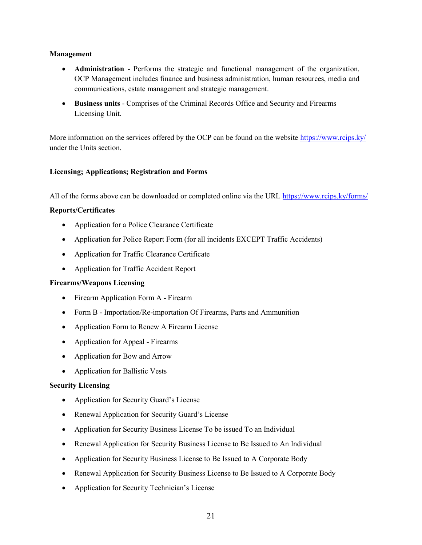### Management

- Administration Performs the strategic and functional management of the organization. OCP Management includes finance and business administration, human resources, media and communications, estate management and strategic management.
- Business units Comprises of the Criminal Records Office and Security and Firearms Licensing Unit.

More information on the services offered by the OCP can be found on the website https://www.rcips.ky/ under the Units section.

#### Licensing; Applications; Registration and Forms

All of the forms above can be downloaded or completed online via the URL https://www.rcips.ky/forms/

#### Reports/Certificates

- Application for a Police Clearance Certificate
- Application for Police Report Form (for all incidents EXCEPT Traffic Accidents)
- Application for Traffic Clearance Certificate
- Application for Traffic Accident Report

#### Firearms/Weapons Licensing

- Firearm Application Form A Firearm
- Form B Importation/Re-importation Of Firearms, Parts and Ammunition
- Application Form to Renew A Firearm License
- Application for Appeal Firearms
- Application for Bow and Arrow
- Application for Ballistic Vests

### Security Licensing

- Application for Security Guard's License
- Renewal Application for Security Guard's License
- Application for Security Business License To be issued To an Individual
- Renewal Application for Security Business License to Be Issued to An Individual
- Application for Security Business License to Be Issued to A Corporate Body
- Renewal Application for Security Business License to Be Issued to A Corporate Body
- Application for Security Technician's License